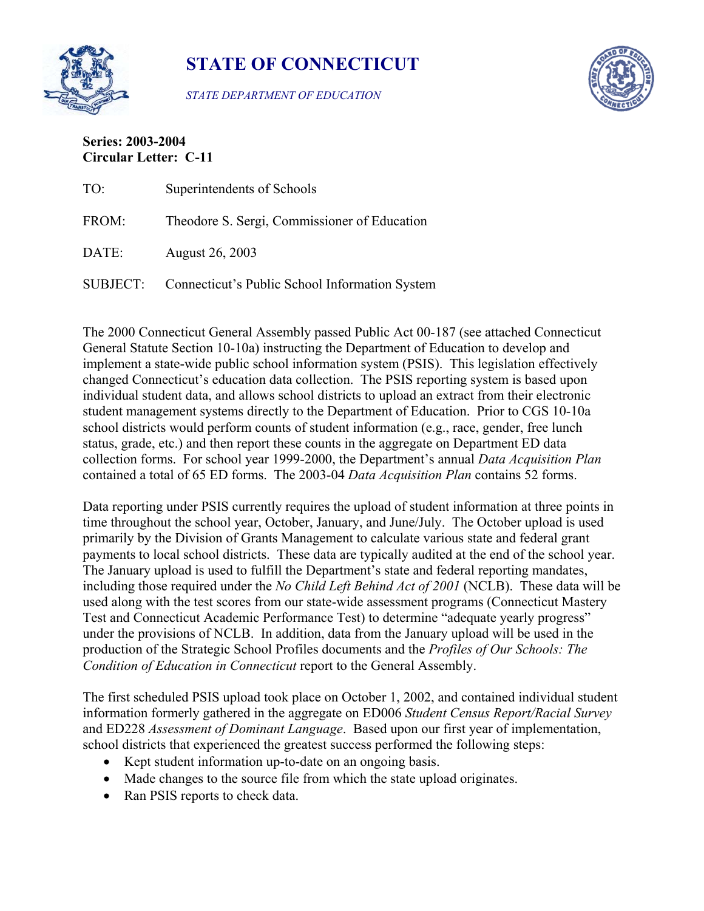

**STATE OF CONNECTICUT** 

*STATE DEPARTMENT OF EDUCATION* 



## **Series: 2003-2004 Circular Letter: C-11**

| TO:      | Superintendents of Schools                     |
|----------|------------------------------------------------|
| FROM:    | Theodore S. Sergi, Commissioner of Education   |
| DATE:    | August 26, 2003                                |
| SUBJECT: | Connecticut's Public School Information System |

The 2000 Connecticut General Assembly passed Public Act 00-187 (see attached Connecticut General Statute Section 10-10a) instructing the Department of Education to develop and implement a state-wide public school information system (PSIS). This legislation effectively changed Connecticut's education data collection. The PSIS reporting system is based upon individual student data, and allows school districts to upload an extract from their electronic student management systems directly to the Department of Education. Prior to CGS 10-10a school districts would perform counts of student information (e.g., race, gender, free lunch status, grade, etc.) and then report these counts in the aggregate on Department ED data collection forms. For school year 1999-2000, the Department's annual *Data Acquisition Plan*  contained a total of 65 ED forms. The 2003-04 *Data Acquisition Plan* contains 52 forms.

Data reporting under PSIS currently requires the upload of student information at three points in time throughout the school year, October, January, and June/July. The October upload is used primarily by the Division of Grants Management to calculate various state and federal grant payments to local school districts. These data are typically audited at the end of the school year. The January upload is used to fulfill the Department's state and federal reporting mandates, including those required under the *No Child Left Behind Act of 2001* (NCLB). These data will be used along with the test scores from our state-wide assessment programs (Connecticut Mastery Test and Connecticut Academic Performance Test) to determine "adequate yearly progress" under the provisions of NCLB. In addition, data from the January upload will be used in the production of the Strategic School Profiles documents and the *Profiles of Our Schools: The Condition of Education in Connecticut* report to the General Assembly.

The first scheduled PSIS upload took place on October 1, 2002, and contained individual student information formerly gathered in the aggregate on ED006 *Student Census Report/Racial Survey*  and ED228 *Assessment of Dominant Language*. Based upon our first year of implementation, school districts that experienced the greatest success performed the following steps:

- Kept student information up-to-date on an ongoing basis.
- Made changes to the source file from which the state upload originates.
- Ran PSIS reports to check data.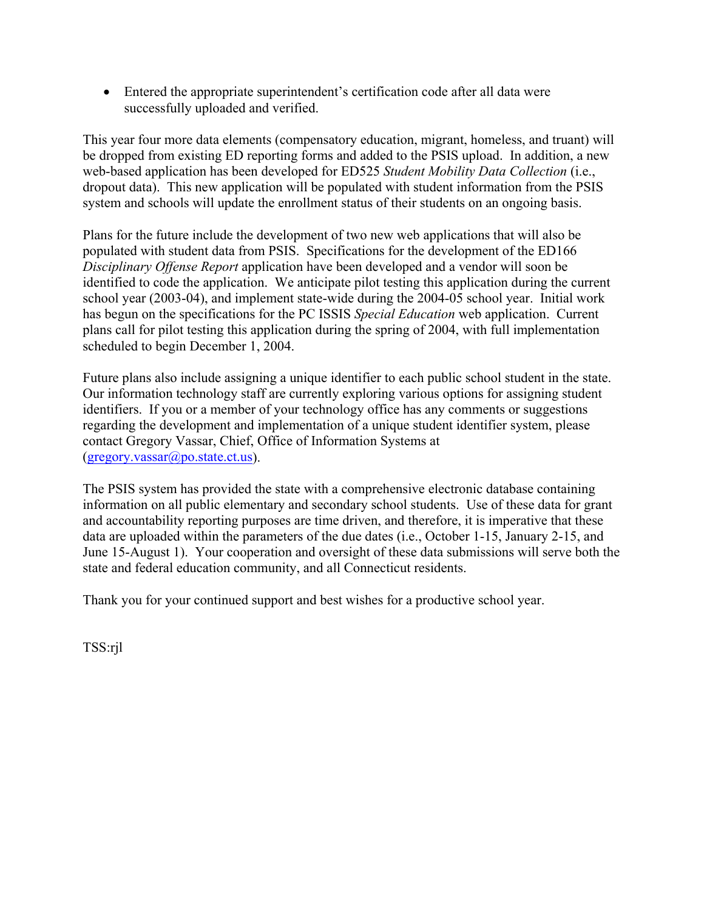• Entered the appropriate superintendent's certification code after all data were successfully uploaded and verified.

This year four more data elements (compensatory education, migrant, homeless, and truant) will be dropped from existing ED reporting forms and added to the PSIS upload. In addition, a new web-based application has been developed for ED525 *Student Mobility Data Collection* (i.e., dropout data). This new application will be populated with student information from the PSIS system and schools will update the enrollment status of their students on an ongoing basis.

Plans for the future include the development of two new web applications that will also be populated with student data from PSIS. Specifications for the development of the ED166 *Disciplinary Offense Report* application have been developed and a vendor will soon be identified to code the application. We anticipate pilot testing this application during the current school year (2003-04), and implement state-wide during the 2004-05 school year. Initial work has begun on the specifications for the PC ISSIS *Special Education* web application. Current plans call for pilot testing this application during the spring of 2004, with full implementation scheduled to begin December 1, 2004.

Future plans also include assigning a unique identifier to each public school student in the state. Our information technology staff are currently exploring various options for assigning student identifiers. If you or a member of your technology office has any comments or suggestions regarding the development and implementation of a unique student identifier system, please contact Gregory Vassar, Chief, Office of Information Systems at  $(gregory.vassar@po.state(ct.us).$ 

The PSIS system has provided the state with a comprehensive electronic database containing information on all public elementary and secondary school students. Use of these data for grant and accountability reporting purposes are time driven, and therefore, it is imperative that these data are uploaded within the parameters of the due dates (i.e., October 1-15, January 2-15, and June 15-August 1). Your cooperation and oversight of these data submissions will serve both the state and federal education community, and all Connecticut residents.

Thank you for your continued support and best wishes for a productive school year.

TSS:rjl